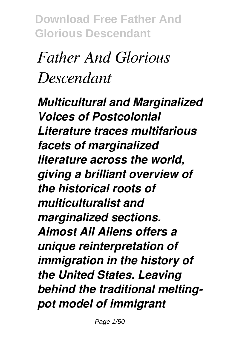# *Father And Glorious Descendant*

*Multicultural and Marginalized Voices of Postcolonial Literature traces multifarious facets of marginalized literature across the world, giving a brilliant overview of the historical roots of multiculturalist and marginalized sections. Almost All Aliens offers a unique reinterpretation of immigration in the history of the United States. Leaving behind the traditional meltingpot model of immigrant*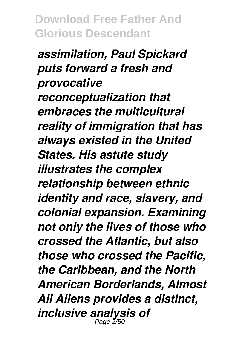*assimilation, Paul Spickard puts forward a fresh and provocative reconceptualization that embraces the multicultural reality of immigration that has always existed in the United States. His astute study illustrates the complex relationship between ethnic identity and race, slavery, and colonial expansion. Examining not only the lives of those who crossed the Atlantic, but also those who crossed the Pacific, the Caribbean, and the North American Borderlands, Almost All Aliens provides a distinct, inclusive analysis of* Page 2/50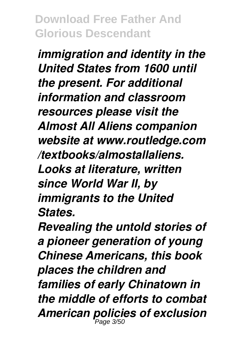*immigration and identity in the United States from 1600 until the present. For additional information and classroom resources please visit the Almost All Aliens companion website at www.routledge.com /textbooks/almostallaliens. Looks at literature, written since World War II, by immigrants to the United States.*

*Revealing the untold stories of a pioneer generation of young Chinese Americans, this book places the children and families of early Chinatown in the middle of efforts to combat American policies of exclusion* Page 3/50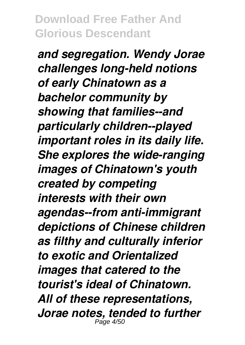*and segregation. Wendy Jorae challenges long-held notions of early Chinatown as a bachelor community by showing that families--and particularly children--played important roles in its daily life. She explores the wide-ranging images of Chinatown's youth created by competing interests with their own agendas--from anti-immigrant depictions of Chinese children as filthy and culturally inferior to exotic and Orientalized images that catered to the tourist's ideal of Chinatown. All of these representations, Jorae notes, tended to further* Page 4/50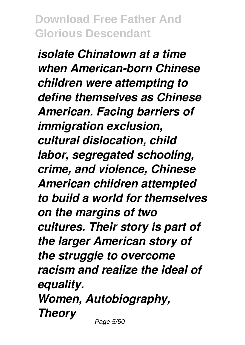*isolate Chinatown at a time when American-born Chinese children were attempting to define themselves as Chinese American. Facing barriers of immigration exclusion, cultural dislocation, child labor, segregated schooling, crime, and violence, Chinese American children attempted to build a world for themselves on the margins of two cultures. Their story is part of the larger American story of the struggle to overcome racism and realize the ideal of equality. Women, Autobiography, Theory*

Page 5/50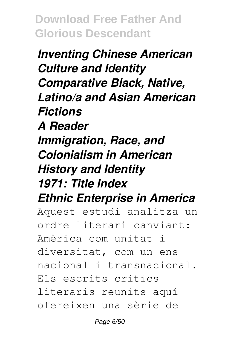*Inventing Chinese American Culture and Identity Comparative Black, Native, Latino/a and Asian American Fictions A Reader Immigration, Race, and Colonialism in American History and Identity 1971: Title Index Ethnic Enterprise in America* Aquest estudi analitza un ordre literari canviant: Amèrica com unitat i diversitat, com un ens nacional i transnacional. Els escrits crítics

literaris reunits aquí

ofereixen una sèrie de

Page 6/50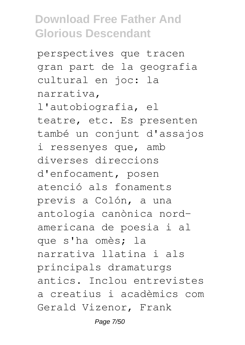perspectives que tracen gran part de la geografia cultural en joc: la narrativa, l'autobiografia, el teatre, etc. Es presenten també un conjunt d'assajos i ressenyes que, amb diverses direccions d'enfocament, posen atenció als fonaments previs a Colón, a una antologia canònica nordamericana de poesia i al que s'ha omès; la narrativa llatina i als principals dramaturgs antics. Inclou entrevistes a creatius i acadèmics com Gerald Vizenor, Frank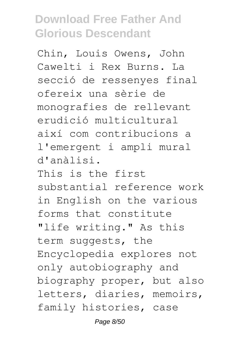Chin, Louis Owens, John Cawelti i Rex Burns. La secció de ressenyes final ofereix una sèrie de monografies de rellevant erudició multicultural així com contribucions a l'emergent i ampli mural d'anàlisi. This is the first substantial reference work in English on the various forms that constitute "life writing." As this term suggests, the Encyclopedia explores not only autobiography and biography proper, but also letters, diaries, memoirs, family histories, case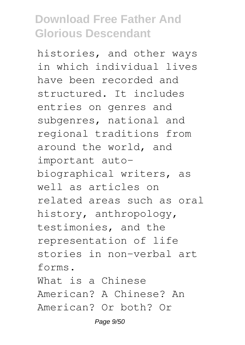histories, and other ways in which individual lives have been recorded and structured. It includes entries on genres and subgenres, national and regional traditions from around the world, and important autobiographical writers, as well as articles on related areas such as oral history, anthropology, testimonies, and the representation of life stories in non-verbal art forms. What is a Chinese American? A Chinese? An American? Or both? Or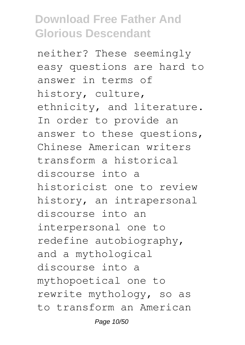neither? These seemingly easy questions are hard to answer in terms of history, culture, ethnicity, and literature. In order to provide an answer to these questions, Chinese American writers transform a historical discourse into a historicist one to review history, an intrapersonal discourse into an interpersonal one to redefine autobiography, and a mythological discourse into a mythopoetical one to rewrite mythology, so as to transform an American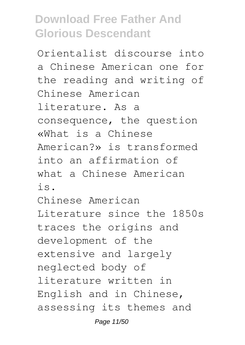Orientalist discourse into a Chinese American one for the reading and writing of Chinese American literature. As a consequence, the question «What is a Chinese American?» is transformed into an affirmation of what a Chinese American is. Chinese American Literature since the 1850s traces the origins and development of the extensive and largely neglected body of literature written in English and in Chinese, assessing its themes and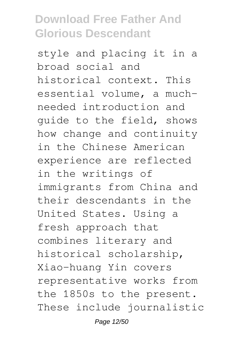style and placing it in a broad social and historical context. This essential volume, a muchneeded introduction and guide to the field, shows how change and continuity in the Chinese American experience are reflected in the writings of immigrants from China and their descendants in the United States. Using a fresh approach that combines literary and historical scholarship, Xiao-huang Yin covers representative works from the 1850s to the present. These include journalistic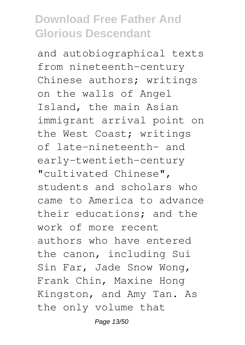and autobiographical texts from nineteenth-century Chinese authors; writings on the walls of Angel Island, the main Asian immigrant arrival point on the West Coast; writings of late-nineteenth- and early-twentieth-century "cultivated Chinese", students and scholars who came to America to advance their educations; and the work of more recent authors who have entered the canon, including Sui Sin Far, Jade Snow Wong, Frank Chin, Maxine Hong Kingston, and Amy Tan. As the only volume that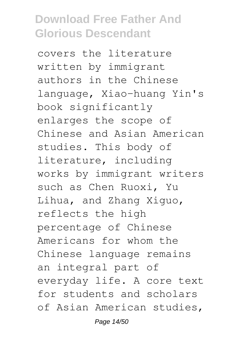covers the literature written by immigrant authors in the Chinese language, Xiao-huang Yin's book significantly enlarges the scope of Chinese and Asian American studies. This body of literature, including works by immigrant writers such as Chen Ruoxi, Yu Lihua, and Zhang Xiguo, reflects the high percentage of Chinese Americans for whom the Chinese language remains an integral part of everyday life. A core text for students and scholars of Asian American studies,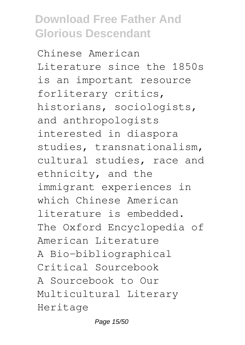Chinese American Literature since the 1850s is an important resource forliterary critics, historians, sociologists, and anthropologists interested in diaspora studies, transnationalism, cultural studies, race and ethnicity, and the immigrant experiences in which Chinese American literature is embedded. The Oxford Encyclopedia of American Literature A Bio-bibliographical Critical Sourcebook A Sourcebook to Our Multicultural Literary Heritage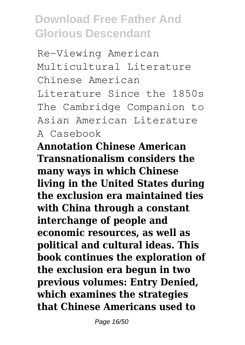Re-Viewing American Multicultural Literature Chinese American Literature Since the 1850s The Cambridge Companion to Asian American Literature A Casebook

**Annotation Chinese American Transnationalism considers the many ways in which Chinese living in the United States during the exclusion era maintained ties with China through a constant interchange of people and economic resources, as well as political and cultural ideas. This book continues the exploration of the exclusion era begun in two previous volumes: Entry Denied, which examines the strategies that Chinese Americans used to**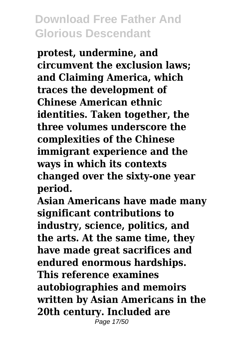**protest, undermine, and circumvent the exclusion laws; and Claiming America, which traces the development of Chinese American ethnic identities. Taken together, the three volumes underscore the complexities of the Chinese immigrant experience and the ways in which its contexts changed over the sixty-one year period.**

**Asian Americans have made many significant contributions to industry, science, politics, and the arts. At the same time, they have made great sacrifices and endured enormous hardships. This reference examines autobiographies and memoirs written by Asian Americans in the 20th century. Included are** Page 17/50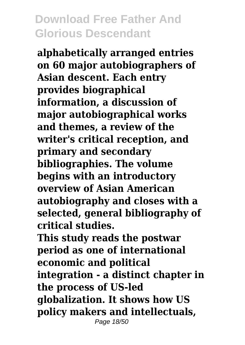**alphabetically arranged entries on 60 major autobiographers of Asian descent. Each entry provides biographical information, a discussion of major autobiographical works and themes, a review of the writer's critical reception, and primary and secondary bibliographies. The volume begins with an introductory overview of Asian American autobiography and closes with a selected, general bibliography of critical studies.**

**This study reads the postwar period as one of international economic and political integration - a distinct chapter in the process of US-led globalization. It shows how US policy makers and intellectuals,** Page 18/50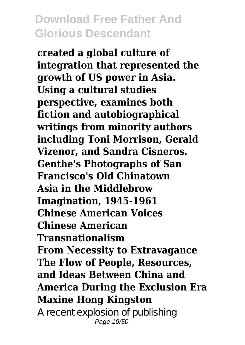**created a global culture of integration that represented the growth of US power in Asia. Using a cultural studies perspective, examines both fiction and autobiographical writings from minority authors including Toni Morrison, Gerald Vizenor, and Sandra Cisneros. Genthe's Photographs of San Francisco's Old Chinatown Asia in the Middlebrow Imagination, 1945-1961 Chinese American Voices Chinese American Transnationalism From Necessity to Extravagance The Flow of People, Resources, and Ideas Between China and America During the Exclusion Era Maxine Hong Kingston** A recent explosion of publishing

Page 19/50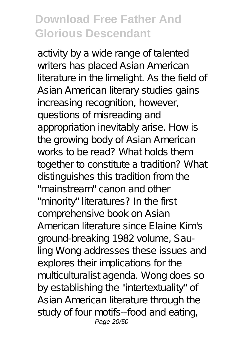activity by a wide range of talented writers has placed Asian American literature in the limelight. As the field of Asian American literary studies gains increasing recognition, however, questions of misreading and appropriation inevitably arise. How is the growing body of Asian American works to be read? What holds them together to constitute a tradition? What distinguishes this tradition from the "mainstream" canon and other "minority" literatures? In the first comprehensive book on Asian American literature since Elaine Kim's ground-breaking 1982 volume, Sauling Wong addresses these issues and explores their implications for the multiculturalist agenda. Wong does so by establishing the "intertextuality" of Asian American literature through the study of four motifs--food and eating, Page 20/50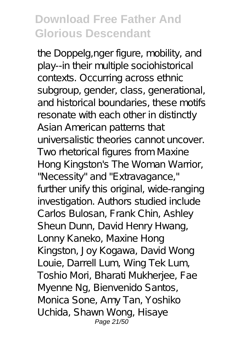the Doppelg,nger figure, mobility, and play--in their multiple sociohistorical contexts. Occurring across ethnic subgroup, gender, class, generational, and historical boundaries, these motifs resonate with each other in distinctly Asian American patterns that universalistic theories cannot uncover. Two rhetorical figures from Maxine Hong Kingston's The Woman Warrior, "Necessity" and "Extravagance," further unify this original, wide-ranging investigation. Authors studied include Carlos Bulosan, Frank Chin, Ashley Sheun Dunn, David Henry Hwang, Lonny Kaneko, Maxine Hong Kingston, Joy Kogawa, David Wong Louie, Darrell Lum, Wing Tek Lum, Toshio Mori, Bharati Mukherjee, Fae Myenne Ng, Bienvenido Santos, Monica Sone, Amy Tan, Yoshiko Uchida, Shawn Wong, Hisaye Page 21/50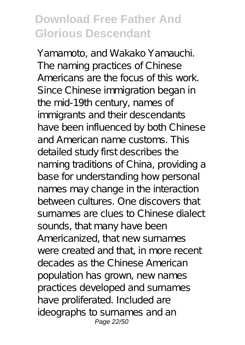Yamamoto, and Wakako Yamauchi. The naming practices of Chinese Americans are the focus of this work. Since Chinese immigration began in the mid-19th century, names of immigrants and their descendants have been influenced by both Chinese and American name customs. This detailed study first describes the naming traditions of China, providing a base for understanding how personal names may change in the interaction between cultures. One discovers that surnames are clues to Chinese dialect sounds, that many have been Americanized, that new surnames were created and that, in more recent decades as the Chinese American population has grown, new names practices developed and surnames have proliferated. Included are ideographs to surnames and an Page 22/50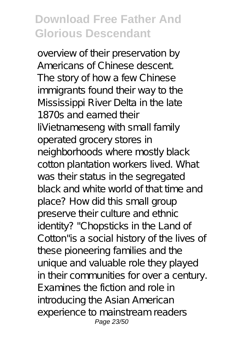overview of their preservation by Americans of Chinese descent. The story of how a few Chinese immigrants found their way to the Mississippi River Delta in the late 1870s and earned their liVietnameseng with small family operated grocery stores in neighborhoods where mostly black cotton plantation workers lived. What was their status in the segregated black and white world of that time and place? How did this small group preserve their culture and ethnic identity? "Chopsticks in the Land of Cotton"is a social history of the lives of these pioneering families and the unique and valuable role they played in their communities for over a century. Examines the fiction and role in introducing the Asian American experience to mainstream readers Page 23/50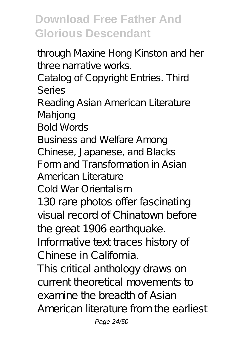through Maxine Hong Kinston and her three narrative works.

Catalog of Copyright Entries. Third Series

Reading Asian American Literature Mahjong

Bold Words

Business and Welfare Among

Chinese, Japanese, and Blacks

Form and Transformation in Asian

American Literature

Cold War Orientalism

130 rare photos offer fascinating visual record of Chinatown before the great 1906 earthquake.

Informative text traces history of Chinese in California.

This critical anthology draws on current theoretical movements to examine the breadth of Asian American literature from the earliest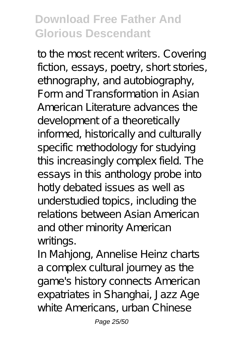to the most recent writers. Covering fiction, essays, poetry, short stories, ethnography, and autobiography, Form and Transformation in Asian American Literature advances the development of a theoretically informed, historically and culturally specific methodology for studying this increasingly complex field. The essays in this anthology probe into hotly debated issues as well as understudied topics, including the relations between Asian American and other minority American writings.

In Mahjong, Annelise Heinz charts a complex cultural journey as the game's history connects American expatriates in Shanghai, Jazz Age white Americans, urban Chinese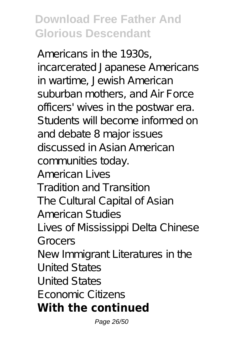Americans in the 1930s, incarcerated Japanese Americans in wartime, Jewish American suburban mothers, and Air Force officers' wives in the postwar era. Students will become informed on and debate 8 major issues discussed in Asian American communities today. American Lives Tradition and Transition The Cultural Capital of Asian American Studies Lives of Mississippi Delta Chinese Grocers New Immigrant Literatures in the United States United States Economic Citizens **With the continued**

Page 26/50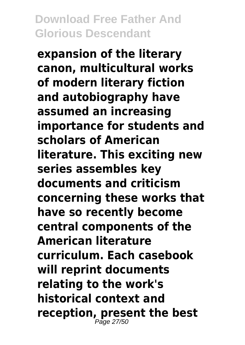**expansion of the literary canon, multicultural works of modern literary fiction and autobiography have assumed an increasing importance for students and scholars of American literature. This exciting new series assembles key documents and criticism concerning these works that have so recently become central components of the American literature curriculum. Each casebook will reprint documents relating to the work's historical context and reception, present the best** Page 27/50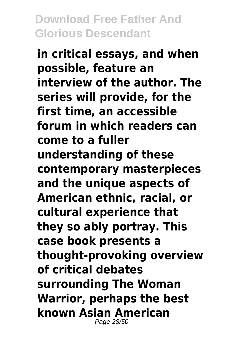**in critical essays, and when possible, feature an interview of the author. The series will provide, for the first time, an accessible forum in which readers can come to a fuller understanding of these contemporary masterpieces and the unique aspects of American ethnic, racial, or cultural experience that they so ably portray. This case book presents a thought-provoking overview of critical debates surrounding The Woman Warrior, perhaps the best known Asian American** Page 28/50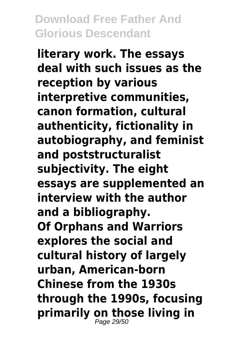**literary work. The essays deal with such issues as the reception by various interpretive communities, canon formation, cultural authenticity, fictionality in autobiography, and feminist and poststructuralist subjectivity. The eight essays are supplemented an interview with the author and a bibliography. Of Orphans and Warriors explores the social and cultural history of largely urban, American-born Chinese from the 1930s through the 1990s, focusing primarily on those living in** Page 29/50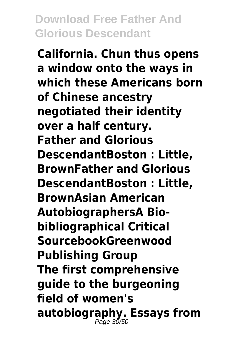**California. Chun thus opens a window onto the ways in which these Americans born of Chinese ancestry negotiated their identity over a half century. Father and Glorious DescendantBoston : Little, BrownFather and Glorious DescendantBoston : Little, BrownAsian American AutobiographersA Biobibliographical Critical SourcebookGreenwood Publishing Group The first comprehensive guide to the burgeoning field of women's autobiography. Essays from** Page 30/50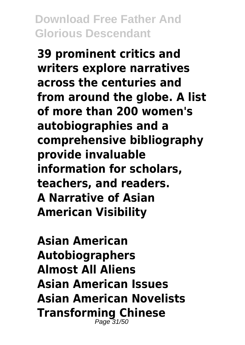**39 prominent critics and writers explore narratives across the centuries and from around the globe. A list of more than 200 women's autobiographies and a comprehensive bibliography provide invaluable information for scholars, teachers, and readers. A Narrative of Asian American Visibility**

**Asian American Autobiographers Almost All Aliens Asian American Issues Asian American Novelists Transforming Chinese** Page 31/50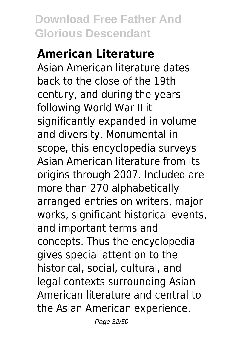# **American Literature**

Asian American literature dates back to the close of the 19th century, and during the years following World War II it significantly expanded in volume and diversity. Monumental in scope, this encyclopedia surveys Asian American literature from its origins through 2007. Included are more than 270 alphabetically arranged entries on writers, major works, significant historical events, and important terms and concepts. Thus the encyclopedia gives special attention to the historical, social, cultural, and legal contexts surrounding Asian American literature and central to the Asian American experience.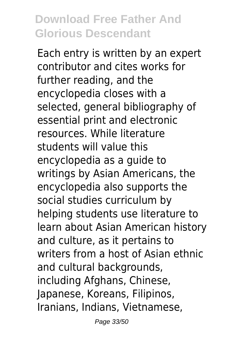Each entry is written by an expert contributor and cites works for further reading, and the encyclopedia closes with a selected, general bibliography of essential print and electronic resources. While literature students will value this encyclopedia as a guide to writings by Asian Americans, the encyclopedia also supports the social studies curriculum by helping students use literature to learn about Asian American history and culture, as it pertains to writers from a host of Asian ethnic and cultural backgrounds, including Afghans, Chinese, Japanese, Koreans, Filipinos, Iranians, Indians, Vietnamese,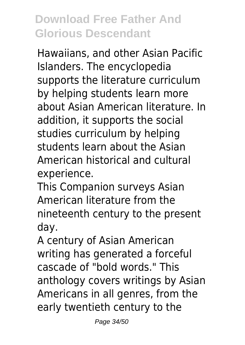Hawaiians, and other Asian Pacific Islanders. The encyclopedia supports the literature curriculum by helping students learn more about Asian American literature. In addition, it supports the social studies curriculum by helping students learn about the Asian American historical and cultural experience.

This Companion surveys Asian American literature from the nineteenth century to the present day.

A century of Asian American writing has generated a forceful cascade of "bold words." This anthology covers writings by Asian Americans in all genres, from the early twentieth century to the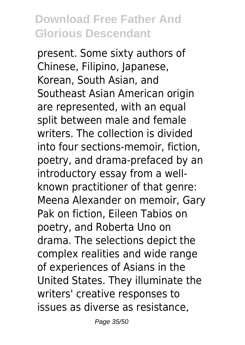present. Some sixty authors of Chinese, Filipino, Japanese, Korean, South Asian, and Southeast Asian American origin are represented, with an equal split between male and female writers. The collection is divided into four sections-memoir, fiction, poetry, and drama-prefaced by an introductory essay from a wellknown practitioner of that genre: Meena Alexander on memoir, Gary Pak on fiction, Eileen Tabios on poetry, and Roberta Uno on drama. The selections depict the complex realities and wide range of experiences of Asians in the United States. They illuminate the writers' creative responses to issues as diverse as resistance,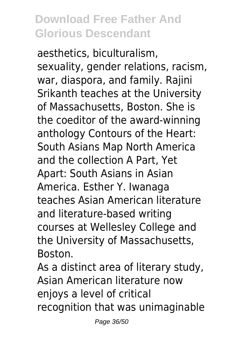aesthetics, biculturalism, sexuality, gender relations, racism, war, diaspora, and family. Rajini Srikanth teaches at the University of Massachusetts, Boston. She is the coeditor of the award-winning anthology Contours of the Heart: South Asians Map North America and the collection A Part, Yet Apart: South Asians in Asian America. Esther Y. Iwanaga teaches Asian American literature and literature-based writing courses at Wellesley College and the University of Massachusetts, Boston.

As a distinct area of literary study, Asian American literature now enjoys a level of critical recognition that was unimaginable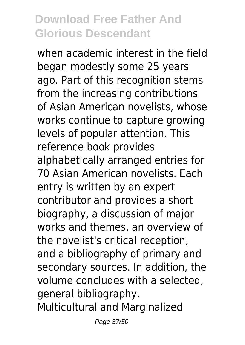when academic interest in the field began modestly some 25 years ago. Part of this recognition stems from the increasing contributions of Asian American novelists, whose works continue to capture growing levels of popular attention. This reference book provides alphabetically arranged entries for 70 Asian American novelists. Each entry is written by an expert contributor and provides a short biography, a discussion of major works and themes, an overview of the novelist's critical reception, and a bibliography of primary and secondary sources. In addition, the volume concludes with a selected, general bibliography. Multicultural and Marginalized

Page 37/50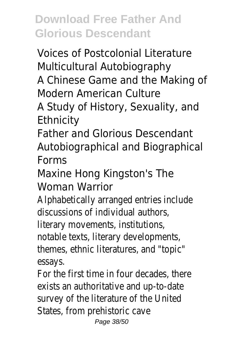Voices of Postcolonial Literature Multicultural Autobiography A Chinese Game and the Making of

Modern American Culture

A Study of History, Sexuality, and **Ethnicity** 

Father and Glorious Descendant Autobiographical and Biographical Forms

Maxine Hong Kingston's The Woman Warrior

Alphabetically arranged entries include discussions of individual authors,

literary movements, institutions,

notable texts, literary developments,

themes, ethnic literatures, and "topic" essays.

For the first time in four decades, there exists an authoritative and up-to-date survey of the literature of the United States, from prehistoric cave Page 38/50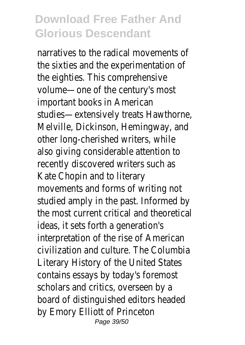narratives to the radical movements of the sixties and the experimentation of the eighties. This comprehensive volume—one of the century's most important books in American studies—extensively treats Hawthorne, Melville, Dickinson, Hemingway, and other long-cherished writers, while also giving considerable attention to recently discovered writers such as Kate Chopin and to literary movements and forms of writing not studied amply in the past. Informed by the most current critical and theoretical ideas, it sets forth a generation's interpretation of the rise of American civilization and culture. The Columbia Literary History of the United States contains essays by today's foremost scholars and critics, overseen by a board of distinguished editors headed by Emory Elliott of Princeton Page 39/50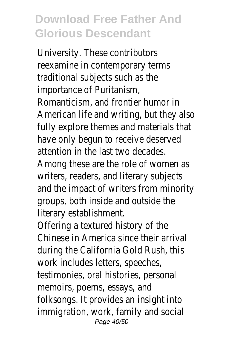University. These contributors reexamine in contemporary terms traditional subjects such as the importance of Puritanism, Romanticism, and frontier humor in American life and writing, but they also fully explore themes and materials that have only begun to receive deserved attention in the last two decades. Among these are the role of women as writers, readers, and literary subjects and the impact of writers from minority groups, both inside and outside the literary establishment.

Offering a textured history of the Chinese in America since their arrival during the California Gold Rush, this work includes letters, speeches, testimonies, oral histories, personal memoirs, poems, essays, and folksongs. It provides an insight into immigration, work, family and social Page 40/50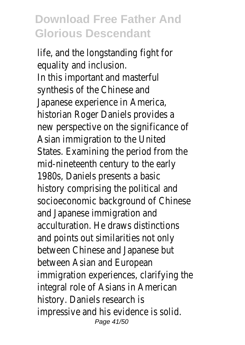life, and the longstanding fight for equality and inclusion. In this important and masterful synthesis of the Chinese and Japanese experience in America, historian Roger Daniels provides a new perspective on the significance of Asian immigration to the United States. Examining the period from the mid-nineteenth century to the early 1980s, Daniels presents a basic history comprising the political and socioeconomic background of Chinese and Japanese immigration and acculturation. He draws distinctions and points out similarities not only between Chinese and Japanese but between Asian and European immigration experiences, clarifying the integral role of Asians in American history. Daniels research is impressive and his evidence is solid. Page 41/50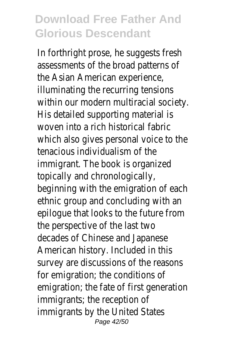In forthright prose, he suggests fresh assessments of the broad patterns of the Asian American experience, illuminating the recurring tensions within our modern multiracial society. His detailed supporting material is woven into a rich historical fabric which also gives personal voice to the tenacious individualism of the immigrant. The book is organized topically and chronologically, beginning with the emigration of each ethnic group and concluding with an epilogue that looks to the future from the perspective of the last two decades of Chinese and Japanese American history. Included in this survey are discussions of the reasons for emigration; the conditions of emigration; the fate of first generation immigrants; the reception of immigrants by the United States Page 42/50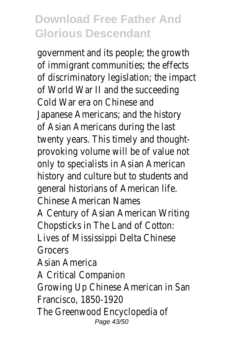government and its people; the growth of immigrant communities; the effects of discriminatory legislation; the impact of World War II and the succeeding Cold War era on Chinese and Japanese Americans; and the history of Asian Americans during the last twenty years. This timely and thoughtprovoking volume will be of value not only to specialists in Asian American history and culture but to students and general historians of American life. Chinese American Names A Century of Asian American Writing Chopsticks in The Land of Cotton: Lives of Mississippi Delta Chinese Grocers Asian America A Critical Companion Growing Up Chinese American in San Francisco, 1850-1920 The Greenwood Encyclopedia of Page 43/50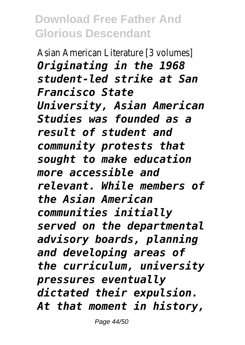Asian American Literature [3 volumes] *Originating in the 1968 student-led strike at San Francisco State University, Asian American Studies was founded as a result of student and community protests that sought to make education more accessible and relevant. While members of the Asian American communities initially served on the departmental advisory boards, planning and developing areas of the curriculum, university pressures eventually dictated their expulsion. At that moment in history,*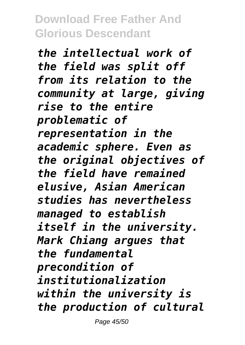*the intellectual work of the field was split off from its relation to the community at large, giving rise to the entire problematic of representation in the academic sphere. Even as the original objectives of the field have remained elusive, Asian American studies has nevertheless managed to establish itself in the university. Mark Chiang argues that the fundamental precondition of institutionalization within the university is the production of cultural*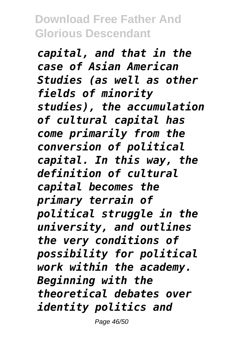*capital, and that in the case of Asian American Studies (as well as other fields of minority studies), the accumulation of cultural capital has come primarily from the conversion of political capital. In this way, the definition of cultural capital becomes the primary terrain of political struggle in the university, and outlines the very conditions of possibility for political work within the academy. Beginning with the theoretical debates over identity politics and*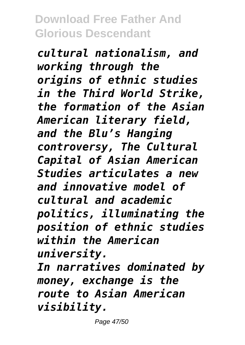*cultural nationalism, and working through the origins of ethnic studies in the Third World Strike, the formation of the Asian American literary field, and the Blu's Hanging controversy, The Cultural Capital of Asian American Studies articulates a new and innovative model of cultural and academic politics, illuminating the position of ethnic studies within the American university.*

*In narratives dominated by money, exchange is the route to Asian American visibility.*

Page 47/50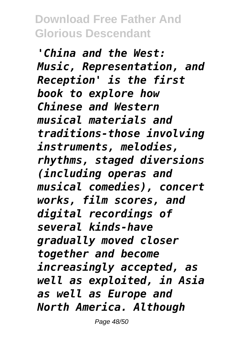*'China and the West: Music, Representation, and Reception' is the first book to explore how Chinese and Western musical materials and traditions-those involving instruments, melodies, rhythms, staged diversions (including operas and musical comedies), concert works, film scores, and digital recordings of several kinds-have gradually moved closer together and become increasingly accepted, as well as exploited, in Asia as well as Europe and North America. Although*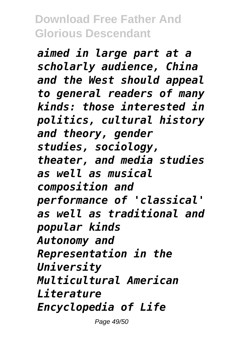*aimed in large part at a scholarly audience, China and the West should appeal to general readers of many kinds: those interested in politics, cultural history and theory, gender studies, sociology, theater, and media studies as well as musical composition and performance of 'classical' as well as traditional and popular kinds Autonomy and Representation in the University Multicultural American Literature Encyclopedia of Life*

Page 49/50